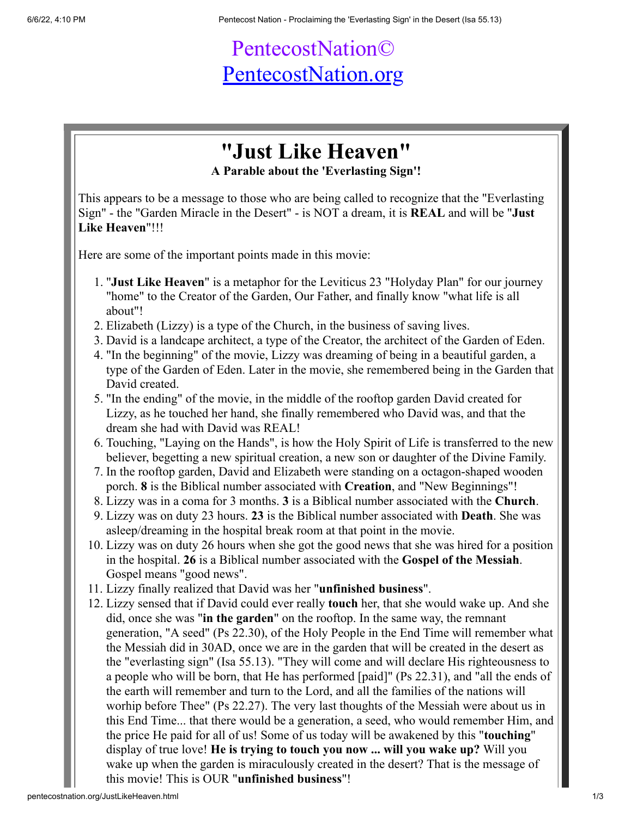## PentecostNation© [PentecostNation.org](http://pentecostnation.org/)

## **"Just Like Heaven"**

**A Parable about the 'Everlasting Sign'!**

This appears to be a message to those who are being called to recognize that the "Everlasting Sign" - the "Garden Miracle in the Desert" - is NOT a dream, it is **REAL** and will be "**Just Like Heaven**"!!!

Here are some of the important points made in this movie:

- 1. "**Just Like Heaven**" is a metaphor for the Leviticus 23 "Holyday Plan" for our journey "home" to the Creator of the Garden, Our Father, and finally know "what life is all about"!
- 2. Elizabeth (Lizzy) is a type of the Church, in the business of saving lives.
- 3. David is a landcape architect, a type of the Creator, the architect of the Garden of Eden.
- 4. "In the beginning" of the movie, Lizzy was dreaming of being in a beautiful garden, a type of the Garden of Eden. Later in the movie, she remembered being in the Garden that David created.
- 5. "In the ending" of the movie, in the middle of the rooftop garden David created for Lizzy, as he touched her hand, she finally remembered who David was, and that the dream she had with David was REAL!
- 6. Touching, "Laying on the Hands", is how the Holy Spirit of Life is transferred to the new believer, begetting a new spiritual creation, a new son or daughter of the Divine Family.
- 7. In the rooftop garden, David and Elizabeth were standing on a octagon-shaped wooden porch. **8** is the Biblical number associated with **Creation**, and "New Beginnings"!
- 8. Lizzy was in a coma for 3 months. **3** is a Biblical number associated with the **Church**.
- 9. Lizzy was on duty 23 hours. **23** is the Biblical number associated with **Death**. She was asleep/dreaming in the hospital break room at that point in the movie.
- 10. Lizzy was on duty 26 hours when she got the good news that she was hired for a position in the hospital. **26** is a Biblical number associated with the **Gospel of the Messiah**. Gospel means "good news".
- 11. Lizzy finally realized that David was her "**unfinished business**".
- 12. Lizzy sensed that if David could ever really **touch** her, that she would wake up. And she did, once she was "**in the garden**" on the rooftop. In the same way, the remnant generation, "A seed" (Ps 22.30), of the Holy People in the End Time will remember what the Messiah did in 30AD, once we are in the garden that will be created in the desert as the "everlasting sign" (Isa 55.13). "They will come and will declare His righteousness to a people who will be born, that He has performed [paid]" (Ps 22.31), and "all the ends of the earth will remember and turn to the Lord, and all the families of the nations will worhip before Thee" (Ps 22.27). The very last thoughts of the Messiah were about us in this End Time... that there would be a generation, a seed, who would remember Him, and the price He paid for all of us! Some of us today will be awakened by this "**touching**" display of true love! **He is trying to touch you now ... will you wake up?** Will you wake up when the garden is miraculously created in the desert? That is the message of this movie! This is OUR "**unfinished business**"!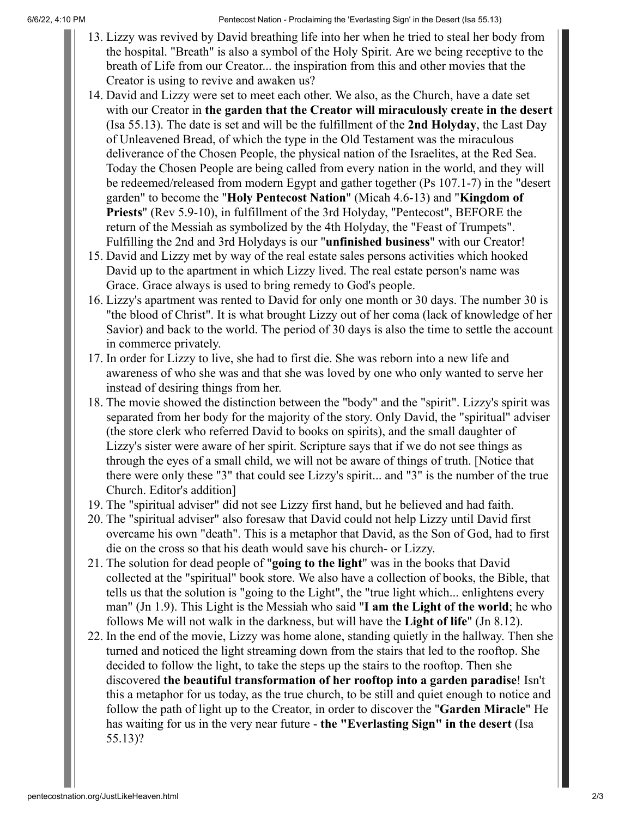6/6/22, 4:10 PM Pentecost Nation - Proclaiming the 'Everlasting Sign' in the Desert (Isa 55.13)

- 13. Lizzy was revived by David breathing life into her when he tried to steal her body from the hospital. "Breath" is also a symbol of the Holy Spirit. Are we being receptive to the breath of Life from our Creator... the inspiration from this and other movies that the Creator is using to revive and awaken us?
- 14. David and Lizzy were set to meet each other. We also, as the Church, have a date set with our Creator in **the garden that the Creator will miraculously create in the desert** (Isa 55.13). The date is set and will be the fulfillment of the **2nd Holyday**, the Last Day of Unleavened Bread, of which the type in the Old Testament was the miraculous deliverance of the Chosen People, the physical nation of the Israelites, at the Red Sea. Today the Chosen People are being called from every nation in the world, and they will be redeemed/released from modern Egypt and gather together (Ps 107.1-7) in the "desert garden" to become the "**Holy Pentecost Nation**" (Micah 4.6-13) and "**Kingdom of Priests**" (Rev 5.9-10), in fulfillment of the 3rd Holyday, "Pentecost", BEFORE the return of the Messiah as symbolized by the 4th Holyday, the "Feast of Trumpets". Fulfilling the 2nd and 3rd Holydays is our "**unfinished business**" with our Creator!
- 15. David and Lizzy met by way of the real estate sales persons activities which hooked David up to the apartment in which Lizzy lived. The real estate person's name was Grace. Grace always is used to bring remedy to God's people.
- 16. Lizzy's apartment was rented to David for only one month or 30 days. The number 30 is "the blood of Christ". It is what brought Lizzy out of her coma (lack of knowledge of her Savior) and back to the world. The period of 30 days is also the time to settle the account in commerce privately.
- 17. In order for Lizzy to live, she had to first die. She was reborn into a new life and awareness of who she was and that she was loved by one who only wanted to serve her instead of desiring things from her.
- 18. The movie showed the distinction between the "body" and the "spirit". Lizzy's spirit was separated from her body for the majority of the story. Only David, the "spiritual" adviser (the store clerk who referred David to books on spirits), and the small daughter of Lizzy's sister were aware of her spirit. Scripture says that if we do not see things as through the eyes of a small child, we will not be aware of things of truth. [Notice that there were only these "3" that could see Lizzy's spirit... and "3" is the number of the true Church. Editor's addition]
- 19. The "spiritual adviser" did not see Lizzy first hand, but he believed and had faith.
- 20. The "spiritual adviser" also foresaw that David could not help Lizzy until David first overcame his own "death". This is a metaphor that David, as the Son of God, had to first die on the cross so that his death would save his church- or Lizzy.
- 21. The solution for dead people of "**going to the light**" was in the books that David collected at the "spiritual" book store. We also have a collection of books, the Bible, that tells us that the solution is "going to the Light", the "true light which... enlightens every man" (Jn 1.9). This Light is the Messiah who said "**I am the Light of the world**; he who follows Me will not walk in the darkness, but will have the **Light of life**" (Jn 8.12).
- 22. In the end of the movie, Lizzy was home alone, standing quietly in the hallway. Then she turned and noticed the light streaming down from the stairs that led to the rooftop. She decided to follow the light, to take the steps up the stairs to the rooftop. Then she discovered **the beautiful transformation of her rooftop into a garden paradise**! Isn't this a metaphor for us today, as the true church, to be still and quiet enough to notice and follow the path of light up to the Creator, in order to discover the "**Garden Miracle**" He has waiting for us in the very near future - **the "Everlasting Sign" in the desert** (Isa 55.13)?